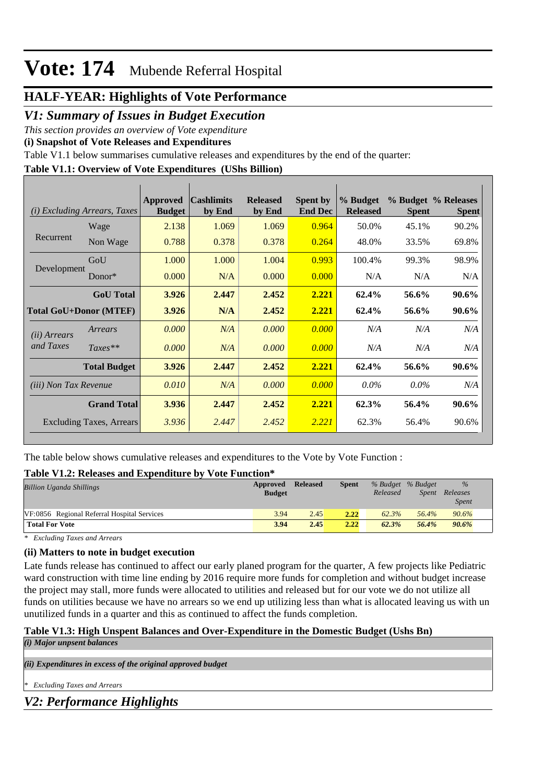### **HALF-YEAR: Highlights of Vote Performance**

*V1: Summary of Issues in Budget Execution*

*This section provides an overview of Vote expenditure* 

**(i) Snapshot of Vote Releases and Expenditures**

Table V1.1 below summarises cumulative releases and expenditures by the end of the quarter:

### **Table V1.1: Overview of Vote Expenditures (UShs Billion)**

|                               | ( <i>i</i> ) Excluding Arrears, Taxes | Approved<br><b>Budget</b> | <b>Cashlimits</b><br>by End | <b>Released</b><br>by End | <b>Spent by</b><br><b>End Dec</b> | % Budget<br><b>Released</b> | <b>Spent</b> | % Budget % Releases<br><b>Spent</b> |
|-------------------------------|---------------------------------------|---------------------------|-----------------------------|---------------------------|-----------------------------------|-----------------------------|--------------|-------------------------------------|
|                               | Wage                                  | 2.138                     | 1.069                       | 1.069                     | 0.964                             | 50.0%                       | 45.1%        | 90.2%                               |
| Recurrent                     | Non Wage                              | 0.788                     | 0.378                       | 0.378                     | 0.264                             | 48.0%                       | 33.5%        | 69.8%                               |
|                               | GoU                                   | 1.000                     | 1.000                       | 1.004                     | 0.993                             | 100.4%                      | 99.3%        | 98.9%                               |
| Development                   | Donor $*$                             | 0.000                     | N/A                         | 0.000                     | 0.000                             | N/A                         | N/A          | N/A                                 |
|                               | <b>GoU</b> Total                      | 3.926                     | 2.447                       | 2.452                     | 2.221                             | 62.4%                       | 56.6%        | 90.6%                               |
| <b>Total GoU+Donor (MTEF)</b> |                                       | 3.926                     | N/A                         | 2.452                     | 2.221                             | 62.4%                       | 56.6%        | 90.6%                               |
| ( <i>ii</i> ) Arrears         | Arrears                               | 0.000                     | N/A                         | 0.000                     | 0.000                             | N/A                         | N/A          | N/A                                 |
| and Taxes                     | $Taxes**$                             | 0.000                     | N/A                         | 0.000                     | 0.000                             | N/A                         | N/A          | N/A                                 |
|                               | <b>Total Budget</b>                   | 3.926                     | 2.447                       | 2.452                     | 2.221                             | 62.4%                       | 56.6%        | 90.6%                               |
| <i>(iii)</i> Non Tax Revenue  |                                       | 0.010                     | N/A                         | 0.000                     | 0.000                             | $0.0\%$                     | $0.0\%$      | N/A                                 |
|                               | <b>Grand Total</b>                    | 3.936                     | 2.447                       | 2.452                     | 2.221                             | 62.3%                       | 56.4%        | 90.6%                               |
|                               | Excluding Taxes, Arrears              | 3.936                     | 2.447                       | 2.452                     | 2.221                             | 62.3%                       | 56.4%        | 90.6%                               |

The table below shows cumulative releases and expenditures to the Vote by Vote Function :

#### **Table V1.2: Releases and Expenditure by Vote Function\***

| <b>Billion Uganda Shillings</b>             | Approved<br><b>Budget</b> | <b>Released</b> | <b>Spent</b> | % Budget % Budget<br>Released | <i>Spent</i> | $\%$<br>Releases<br><i>Spent</i> |
|---------------------------------------------|---------------------------|-----------------|--------------|-------------------------------|--------------|----------------------------------|
| VF:0856 Regional Referral Hospital Services | 3.94                      | 2.45            | 2.22         | 62.3%                         | 56.4%        | 90.6%                            |
| <b>Total For Vote</b>                       | 3.94                      | 2.45            | 2.22         | 62.3%                         | 56.4%        | 90.6%                            |

*\* Excluding Taxes and Arrears*

#### **(ii) Matters to note in budget execution**

Late funds release has continued to affect our early planed program for the quarter, A few projects like Pediatric ward construction with time line ending by 2016 require more funds for completion and without budget increase the project may stall, more funds were allocated to utilities and released but for our vote we do not utilize all funds on utilities because we have no arrears so we end up utilizing less than what is allocated leaving us with un unutilized funds in a quarter and this as continued to affect the funds completion.

### **Table V1.3: High Unspent Balances and Over-Expenditure in the Domestic Budget (Ushs Bn)**

*(i) Major unpsent balances*

*(ii) Expenditures in excess of the original approved budget*

*\* Excluding Taxes and Arrears*

*V2: Performance Highlights*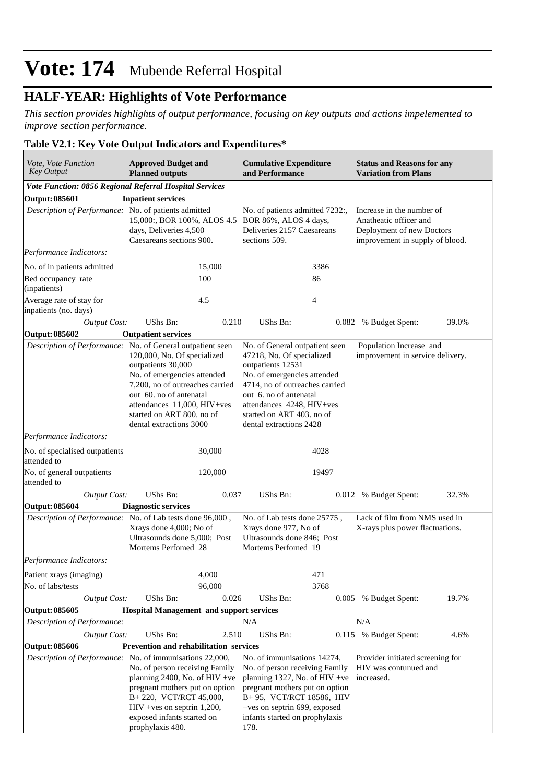## **HALF-YEAR: Highlights of Vote Performance**

*This section provides highlights of output performance, focusing on key outputs and actions impelemented to improve section performance.*

### **Table V2.1: Key Vote Output Indicators and Expenditures\***

| Vote, Vote Function<br><b>Key Output</b>                | <b>Approved Budget and</b><br><b>Planned outputs</b>                                                                                                                                                                                                                                                | <b>Cumulative Expenditure</b><br>and Performance                                                                                                                                                                                                                 | <b>Status and Reasons for any</b><br><b>Variation from Plans</b>                                                    |  |  |
|---------------------------------------------------------|-----------------------------------------------------------------------------------------------------------------------------------------------------------------------------------------------------------------------------------------------------------------------------------------------------|------------------------------------------------------------------------------------------------------------------------------------------------------------------------------------------------------------------------------------------------------------------|---------------------------------------------------------------------------------------------------------------------|--|--|
| Vote Function: 0856 Regional Referral Hospital Services |                                                                                                                                                                                                                                                                                                     |                                                                                                                                                                                                                                                                  |                                                                                                                     |  |  |
| Output: 085601                                          | <b>Inpatient services</b>                                                                                                                                                                                                                                                                           |                                                                                                                                                                                                                                                                  |                                                                                                                     |  |  |
| Description of Performance: No. of patients admitted    | 15,000:, BOR 100%, ALOS 4.5 BOR 86%, ALOS 4 days,<br>days, Deliveries 4,500<br>Caesareans sections 900.                                                                                                                                                                                             | No. of patients admitted 7232:,<br>Deliveries 2157 Caesareans<br>sections 509.                                                                                                                                                                                   | Increase in the number of<br>Anatheatic officer and<br>Deployment of new Doctors<br>improvement in supply of blood. |  |  |
| Performance Indicators:                                 |                                                                                                                                                                                                                                                                                                     |                                                                                                                                                                                                                                                                  |                                                                                                                     |  |  |
| No. of in patients admitted                             | 15,000                                                                                                                                                                                                                                                                                              | 3386                                                                                                                                                                                                                                                             |                                                                                                                     |  |  |
| Bed occupancy rate<br>(inpatients)                      | 100<br>86                                                                                                                                                                                                                                                                                           |                                                                                                                                                                                                                                                                  |                                                                                                                     |  |  |
| Average rate of stay for<br>inpatients (no. days)       | 4.5                                                                                                                                                                                                                                                                                                 | 4                                                                                                                                                                                                                                                                |                                                                                                                     |  |  |
| <b>Output Cost:</b>                                     | <b>UShs Bn:</b><br>0.210                                                                                                                                                                                                                                                                            | <b>UShs Bn:</b><br>0.082                                                                                                                                                                                                                                         | % Budget Spent:<br>39.0%                                                                                            |  |  |
| Output: 085602                                          | <b>Outpatient services</b>                                                                                                                                                                                                                                                                          |                                                                                                                                                                                                                                                                  |                                                                                                                     |  |  |
|                                                         | Description of Performance: No. of General outpatient seen<br>120,000, No. Of specialized<br>outpatients 30,000<br>No. of emergencies attended<br>7,200, no of outreaches carried<br>out 60. no of antenatal<br>attendances 11,000, HIV+ves<br>started on ART 800. no of<br>dental extractions 3000 | No. of General outpatient seen<br>47218, No. Of specialized<br>outpatients 12531<br>No. of emergencies attended<br>4714, no of outreaches carried<br>out 6, no of antenatal<br>attendances 4248, HIV+ves<br>started on ART 403. no of<br>dental extractions 2428 | Population Increase and<br>improvement in service delivery.                                                         |  |  |
| Performance Indicators:                                 |                                                                                                                                                                                                                                                                                                     |                                                                                                                                                                                                                                                                  |                                                                                                                     |  |  |
| No. of specialised outpatients<br>attended to           | 30,000                                                                                                                                                                                                                                                                                              | 4028                                                                                                                                                                                                                                                             |                                                                                                                     |  |  |
| No. of general outpatients<br>attended to               | 120,000                                                                                                                                                                                                                                                                                             | 19497                                                                                                                                                                                                                                                            |                                                                                                                     |  |  |
| <b>Output Cost:</b>                                     | UShs Bn:<br>0.037                                                                                                                                                                                                                                                                                   | UShs Bn:                                                                                                                                                                                                                                                         | 0.012 % Budget Spent:<br>32.3%                                                                                      |  |  |
| Output: 085604                                          | <b>Diagnostic services</b>                                                                                                                                                                                                                                                                          |                                                                                                                                                                                                                                                                  |                                                                                                                     |  |  |
|                                                         | Description of Performance: No. of Lab tests done 96,000,<br>Xrays done 4,000; No of<br>Ultrasounds done 5,000; Post<br>Mortems Perfomed 28                                                                                                                                                         | No. of Lab tests done 25775,<br>Xrays done 977, No of<br>Ultrasounds done 846; Post<br>Mortems Perfomed 19                                                                                                                                                       | Lack of film from NMS used in<br>X-rays plus power flactuations.                                                    |  |  |
| Performance Indicators:                                 |                                                                                                                                                                                                                                                                                                     |                                                                                                                                                                                                                                                                  |                                                                                                                     |  |  |
| Patient xrays (imaging)                                 | 4,000                                                                                                                                                                                                                                                                                               | 471                                                                                                                                                                                                                                                              |                                                                                                                     |  |  |
| No. of labs/tests                                       | 96,000                                                                                                                                                                                                                                                                                              | 3768                                                                                                                                                                                                                                                             |                                                                                                                     |  |  |
| <b>Output Cost:</b>                                     | UShs Bn:<br>0.026                                                                                                                                                                                                                                                                                   | UShs Bn:                                                                                                                                                                                                                                                         | 19.7%<br>0.005 % Budget Spent:                                                                                      |  |  |
| Output: 085605                                          | <b>Hospital Management and support services</b>                                                                                                                                                                                                                                                     |                                                                                                                                                                                                                                                                  |                                                                                                                     |  |  |
| Description of Performance:                             |                                                                                                                                                                                                                                                                                                     | N/A                                                                                                                                                                                                                                                              | N/A                                                                                                                 |  |  |
| <b>Output Cost:</b>                                     | 2.510<br>UShs Bn:                                                                                                                                                                                                                                                                                   | UShs Bn:                                                                                                                                                                                                                                                         | 4.6%<br>0.115 % Budget Spent:                                                                                       |  |  |
| Output: 085606                                          | Prevention and rehabilitation services                                                                                                                                                                                                                                                              |                                                                                                                                                                                                                                                                  |                                                                                                                     |  |  |
|                                                         | Description of Performance: No. of immunisations 22,000,<br>No. of person receiving Family<br>planning 2400, No. of HIV +ve<br>pregnant mothers put on option<br>B+220, VCT/RCT 45,000,<br>HIV +ves on septrin 1,200,<br>exposed infants started on<br>prophylaxis 480.                             | No. of immunisations 14274,<br>No. of person receiving Family<br>planning 1327, No. of HIV +ve<br>pregnant mothers put on option<br>B+95, VCT/RCT 18586, HIV<br>+ves on septrin 699, exposed<br>infants started on prophylaxis<br>178.                           | Provider initiated screening for<br>HIV was contunued and<br>increased.                                             |  |  |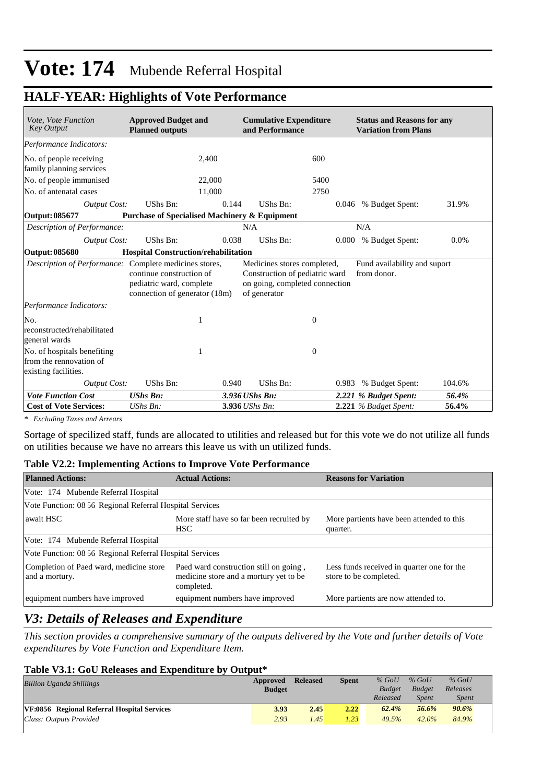## **HALF-YEAR: Highlights of Vote Performance**

| Vote, Vote Function<br><b>Key Output</b>                                       | <b>Approved Budget and</b><br><b>Planned outputs</b>                                  |                | <b>Cumulative Expenditure</b><br>and Performance                                                |       | <b>Status and Reasons for any</b><br><b>Variation from Plans</b> |         |  |
|--------------------------------------------------------------------------------|---------------------------------------------------------------------------------------|----------------|-------------------------------------------------------------------------------------------------|-------|------------------------------------------------------------------|---------|--|
| Performance Indicators:                                                        |                                                                                       |                |                                                                                                 |       |                                                                  |         |  |
| No. of people receiving<br>family planning services                            | 2.400                                                                                 |                | 600                                                                                             |       |                                                                  |         |  |
| No. of people immunised                                                        | 22,000                                                                                |                | 5400                                                                                            |       |                                                                  |         |  |
| No. of antenatal cases                                                         | 11,000                                                                                |                | 2750                                                                                            |       |                                                                  |         |  |
| Output Cost:                                                                   | <b>UShs Bn:</b>                                                                       | 0.144          | UShs Bn:                                                                                        | 0.046 | % Budget Spent:                                                  | 31.9%   |  |
| Output: 085677                                                                 | <b>Purchase of Specialised Machinery &amp; Equipment</b>                              |                |                                                                                                 |       |                                                                  |         |  |
| Description of Performance:                                                    |                                                                                       | N/A            |                                                                                                 |       | N/A                                                              |         |  |
| Output Cost:                                                                   | UShs Bn:                                                                              | 0.038          | UShs Bn:                                                                                        |       | 0.000 % Budget Spent:                                            | $0.0\%$ |  |
| Output: 085680                                                                 | <b>Hospital Construction/rehabilitation</b>                                           |                |                                                                                                 |       |                                                                  |         |  |
| Description of Performance: Complete medicines stores,                         | continue construction of<br>pediatric ward, complete<br>connection of generator (18m) | of generator   | Medicines stores completed,<br>Construction of pediatric ward<br>on going, completed connection |       | Fund availability and suport<br>from donor.                      |         |  |
| Performance Indicators:                                                        |                                                                                       |                |                                                                                                 |       |                                                                  |         |  |
| No.<br>reconstructed/rehabilitated<br>general wards                            | 1                                                                                     |                | $\mathbf{0}$                                                                                    |       |                                                                  |         |  |
| No. of hospitals benefiting<br>from the rennovation of<br>existing facilities. | 1                                                                                     |                | $\theta$                                                                                        |       |                                                                  |         |  |
| <b>Output Cost:</b>                                                            | UShs Bn:                                                                              | 0.940          | UShs Bn:                                                                                        |       | 0.983 % Budget Spent:                                            | 104.6%  |  |
| <b>Vote Function Cost</b>                                                      | <b>UShs Bn:</b>                                                                       | 3.936 UShs Bn: |                                                                                                 |       | 2.221 % Budget Spent:                                            | 56.4%   |  |
| <b>Cost of Vote Services:</b>                                                  | $UShs Bn$ :                                                                           | 3.936 UShs Bn: |                                                                                                 |       | 2.221 % Budget Spent:                                            | 56.4%   |  |

*\* Excluding Taxes and Arrears*

Sortage of specilized staff, funds are allocated to utilities and released but for this vote we do not utilize all funds on utilities because we have no arrears this leave us with un utilized funds.

#### **Table V2.2: Implementing Actions to Improve Vote Performance**

| <b>Planned Actions:</b>                                   | <b>Actual Actions:</b>                                                                         | <b>Reasons for Variation</b>                                         |
|-----------------------------------------------------------|------------------------------------------------------------------------------------------------|----------------------------------------------------------------------|
| Vote: 174 Mubende Referral Hospital                       |                                                                                                |                                                                      |
| Vote Function: 08 56 Regional Referral Hospital Services  |                                                                                                |                                                                      |
| await HSC                                                 | More staff have so far been recruited by<br>HSC.                                               | More partients have been attended to this<br>quarter.                |
| Vote: 174 Mubende Referral Hospital                       |                                                                                                |                                                                      |
| Vote Function: 08 56 Regional Referral Hospital Services  |                                                                                                |                                                                      |
| Completion of Paed ward, medicine store<br>and a mortury. | Paed ward construction still on going,<br>medicine store and a mortury yet to be<br>completed. | Less funds received in quarter one for the<br>store to be completed. |
| equipment numbers have improved                           | equipment numbers have improved                                                                | More partients are now attended to.                                  |

## *V3: Details of Releases and Expenditure*

*This section provides a comprehensive summary of the outputs delivered by the Vote and further details of Vote expenditures by Vote Function and Expenditure Item.*

#### **Table V3.1: GoU Releases and Expenditure by Output\***

| <b>Billion Uganda Shillings</b>             | Approved      | <b>Released</b> | <b>Spent</b> | $%$ GoU       | $%$ GoU       | $%$ GoU      |
|---------------------------------------------|---------------|-----------------|--------------|---------------|---------------|--------------|
|                                             | <b>Budget</b> |                 |              | <b>Budget</b> | <b>Budget</b> | Releases     |
|                                             |               |                 |              | Released      | <b>Spent</b>  | <i>Spent</i> |
| VF:0856 Regional Referral Hospital Services | 3.93          | 2.45            | 2.22         | 62.4%         | 56.6%         | 90.6%        |
| Class: Outputs Provided                     | 2.93          | 1.45            | 1.23         | 49.5%         | $42.0\%$      | 84.9%        |
|                                             |               |                 |              |               |               |              |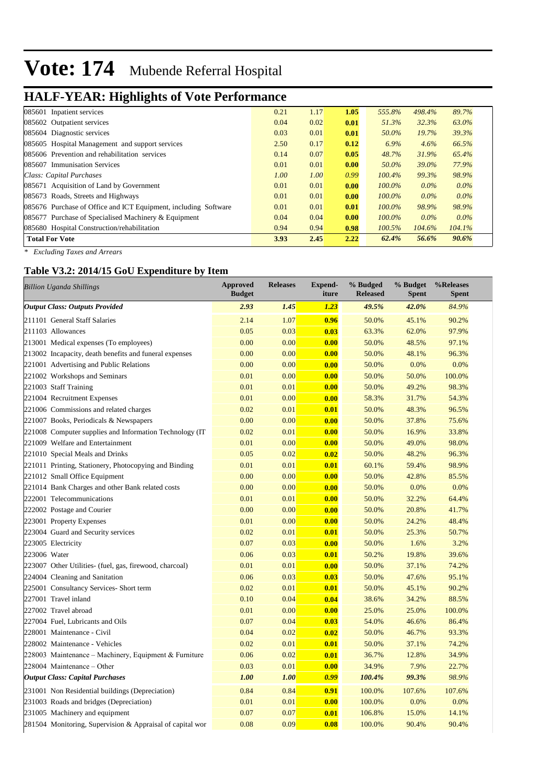# **HALF-YEAR: Highlights of Vote Performance**

| 085601 Inpatient services                                       | 0.21 | 1.17 | 1.05 | 555.8%    | 498.4%  | 89.7%   |  |
|-----------------------------------------------------------------|------|------|------|-----------|---------|---------|--|
| 085602 Outpatient services                                      | 0.04 | 0.02 | 0.01 | 51.3%     | 32.3%   | 63.0%   |  |
| 085604 Diagnostic services                                      | 0.03 | 0.01 | 0.01 | 50.0%     | 19.7%   | 39.3%   |  |
| 085605 Hospital Management and support services                 | 2.50 | 0.17 | 0.12 | 6.9%      | 4.6%    | 66.5%   |  |
| 085606 Prevention and rehabilitation services                   | 0.14 | 0.07 | 0.05 | 48.7%     | 31.9%   | 65.4%   |  |
| 085607 Immunisation Services                                    | 0.01 | 0.01 | 0.00 | 50.0%     | 39.0%   | 77.9%   |  |
| Class: Capital Purchases                                        | 1.00 | 1.00 | 0.99 | $100.4\%$ | 99.3%   | 98.9%   |  |
| 085671 Acquisition of Land by Government                        | 0.01 | 0.01 | 0.00 | $100.0\%$ | $0.0\%$ | $0.0\%$ |  |
| 085673 Roads, Streets and Highways                              | 0.01 | 0.01 | 0.00 | $100.0\%$ | $0.0\%$ | $0.0\%$ |  |
| 085676 Purchase of Office and ICT Equipment, including Software | 0.01 | 0.01 | 0.01 | $100.0\%$ | 98.9%   | 98.9%   |  |
| 085677 Purchase of Specialised Machinery $&$ Equipment          | 0.04 | 0.04 | 0.00 | $100.0\%$ | $0.0\%$ | $0.0\%$ |  |
| 085680 Hospital Construction/rehabilitation                     | 0.94 | 0.94 | 0.98 | $100.5\%$ | 104.6%  | 104.1%  |  |
| <b>Total For Vote</b>                                           | 3.93 | 2.45 | 2.22 | 62.4%     | 56.6%   | 90.6%   |  |

*\* Excluding Taxes and Arrears*

### **Table V3.2: 2014/15 GoU Expenditure by Item**

| <b>Billion Uganda Shillings</b>                           | <b>Approved</b><br><b>Budget</b> | <b>Releases</b> | <b>Expend-</b><br>iture | % Budged<br><b>Released</b> | % Budget<br><b>Spent</b> | %Releases<br><b>Spent</b> |
|-----------------------------------------------------------|----------------------------------|-----------------|-------------------------|-----------------------------|--------------------------|---------------------------|
| <b>Output Class: Outputs Provided</b>                     | 2.93                             | 1.45            | 1.23                    | 49.5%                       | 42.0%                    | 84.9%                     |
| 211101 General Staff Salaries                             | 2.14                             | 1.07            | 0.96                    | 50.0%                       | 45.1%                    | 90.2%                     |
| 211103 Allowances                                         | 0.05                             | 0.03            | 0.03                    | 63.3%                       | 62.0%                    | 97.9%                     |
| 213001 Medical expenses (To employees)                    | 0.00                             | 0.00            | 0.00                    | 50.0%                       | 48.5%                    | 97.1%                     |
| 213002 Incapacity, death benefits and funeral expenses    | 0.00                             | 0.00            | 0.00                    | 50.0%                       | 48.1%                    | 96.3%                     |
| 221001 Advertising and Public Relations                   | 0.00                             | 0.00            | 0.00                    | 50.0%                       | 0.0%                     | 0.0%                      |
| 221002 Workshops and Seminars                             | 0.01                             | 0.00            | 0.00                    | 50.0%                       | 50.0%                    | 100.0%                    |
| 221003 Staff Training                                     | 0.01                             | 0.01            | 0.00                    | 50.0%                       | 49.2%                    | 98.3%                     |
| 221004 Recruitment Expenses                               | 0.01                             | 0.00            | 0.00                    | 58.3%                       | 31.7%                    | 54.3%                     |
| 221006 Commissions and related charges                    | 0.02                             | 0.01            | 0.01                    | 50.0%                       | 48.3%                    | 96.5%                     |
| 221007 Books, Periodicals & Newspapers                    | 0.00                             | 0.00            | 0.00                    | 50.0%                       | 37.8%                    | 75.6%                     |
| 221008 Computer supplies and Information Technology (IT)  | 0.02                             | 0.01            | 0.00                    | 50.0%                       | 16.9%                    | 33.8%                     |
| 221009 Welfare and Entertainment                          | 0.01                             | 0.00            | 0.00                    | 50.0%                       | 49.0%                    | 98.0%                     |
| 221010 Special Meals and Drinks                           | 0.05                             | 0.02            | 0.02                    | 50.0%                       | 48.2%                    | 96.3%                     |
| 221011 Printing, Stationery, Photocopying and Binding     | 0.01                             | 0.01            | 0.01                    | 60.1%                       | 59.4%                    | 98.9%                     |
| 221012 Small Office Equipment                             | 0.00                             | 0.00            | 0.00                    | 50.0%                       | 42.8%                    | 85.5%                     |
| 221014 Bank Charges and other Bank related costs          | 0.00                             | 0.00            | 0.00                    | 50.0%                       | 0.0%                     | 0.0%                      |
| 222001 Telecommunications                                 | 0.01                             | 0.01            | 0.00                    | 50.0%                       | 32.2%                    | 64.4%                     |
| 222002 Postage and Courier                                | 0.00                             | 0.00            | 0.00                    | 50.0%                       | 20.8%                    | 41.7%                     |
| 223001 Property Expenses                                  | 0.01                             | 0.00            | 0.00                    | 50.0%                       | 24.2%                    | 48.4%                     |
| 223004 Guard and Security services                        | 0.02                             | 0.01            | 0.01                    | 50.0%                       | 25.3%                    | 50.7%                     |
| 223005 Electricity                                        | 0.07                             | 0.03            | 0.00                    | 50.0%                       | 1.6%                     | 3.2%                      |
| 223006 Water                                              | 0.06                             | 0.03            | 0.01                    | 50.2%                       | 19.8%                    | 39.6%                     |
| 223007 Other Utilities- (fuel, gas, firewood, charcoal)   | 0.01                             | 0.01            | 0.00                    | 50.0%                       | 37.1%                    | 74.2%                     |
| 224004 Cleaning and Sanitation                            | 0.06                             | 0.03            | 0.03                    | 50.0%                       | 47.6%                    | 95.1%                     |
| 225001 Consultancy Services- Short term                   | 0.02                             | 0.01            | 0.01                    | 50.0%                       | 45.1%                    | 90.2%                     |
| 227001 Travel inland                                      | 0.10                             | 0.04            | 0.04                    | 38.6%                       | 34.2%                    | 88.5%                     |
| 227002 Travel abroad                                      | 0.01                             | 0.00            | 0.00                    | 25.0%                       | 25.0%                    | 100.0%                    |
| 227004 Fuel, Lubricants and Oils                          | 0.07                             | 0.04            | 0.03                    | 54.0%                       | 46.6%                    | 86.4%                     |
| 228001 Maintenance - Civil                                | 0.04                             | 0.02            | 0.02                    | 50.0%                       | 46.7%                    | 93.3%                     |
| 228002 Maintenance - Vehicles                             | 0.02                             | 0.01            | 0.01                    | 50.0%                       | 37.1%                    | 74.2%                     |
| 228003 Maintenance – Machinery, Equipment & Furniture     | 0.06                             | 0.02            | 0.01                    | 36.7%                       | 12.8%                    | 34.9%                     |
| 228004 Maintenance - Other                                | 0.03                             | 0.01            | 0.00                    | 34.9%                       | 7.9%                     | 22.7%                     |
| <b>Output Class: Capital Purchases</b>                    | 1.00                             | 1.00            | 0.99                    | 100.4%                      | 99.3%                    | 98.9%                     |
| 231001 Non Residential buildings (Depreciation)           | 0.84                             | 0.84            | 0.91                    | 100.0%                      | 107.6%                   | 107.6%                    |
| 231003 Roads and bridges (Depreciation)                   | 0.01                             | 0.01            | 0.00                    | 100.0%                      | 0.0%                     | 0.0%                      |
| 231005 Machinery and equipment                            | 0.07                             | 0.07            | 0.01                    | 106.8%                      | 15.0%                    | 14.1%                     |
| 281504 Monitoring, Supervision & Appraisal of capital wor | 0.08                             | 0.09            | 0.08                    | 100.0%                      | 90.4%                    | 90.4%                     |